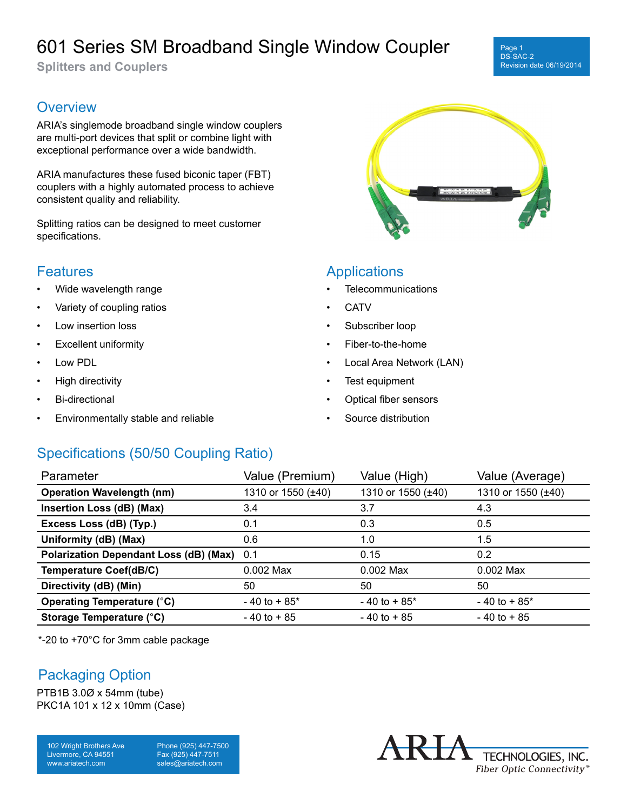# 601 Series SM Broadband Single Window Coupler

**Splitters and Couplers**

#### Page 1 DS-SAC-2 Revision date 06/19/2014

### **Overview**

ARIA's singlemode broadband single window couplers are multi-port devices that split or combine light with exceptional performance over a wide bandwidth.

ARIA manufactures these fused biconic taper (FBT) couplers with a highly automated process to achieve consistent quality and reliability.

Splitting ratios can be designed to meet customer specifications.

#### **Features**

- Wide wavelength range
- Variety of coupling ratios
- Low insertion loss
- **Excellent uniformity**
- Low PDL
- High directivity
- Bi-directional
- Environmentally stable and reliable



### Applications

- **Telecommunications**
- **CATV**
- Subscriber loop
- Fiber-to-the-home
- Local Area Network (LAN)
- Test equipment
- Optical fiber sensors
- Source distribution

### Specifications (50/50 Coupling Ratio)

| Parameter                                     | Value (Premium)    | Value (High)       | Value (Average)    |
|-----------------------------------------------|--------------------|--------------------|--------------------|
| <b>Operation Wavelength (nm)</b>              | 1310 or 1550 (±40) | 1310 or 1550 (±40) | 1310 or 1550 (±40) |
| Insertion Loss (dB) (Max)                     | 3.4                | 3.7                | 4.3                |
| Excess Loss (dB) (Typ.)                       | 0.1                | 0.3                | 0.5                |
| Uniformity (dB) (Max)                         | 0.6                | 1.0                | 1.5                |
| <b>Polarization Dependant Loss (dB) (Max)</b> | 0.1                | 0.15               | 0.2                |
| <b>Temperature Coef(dB/C)</b>                 | 0.002 Max          | $0.002$ Max        | $0.002$ Max        |
| Directivity (dB) (Min)                        | 50                 | 50                 | 50                 |
| Operating Temperature (°C)                    | $-40$ to $+85$ *   | $-40$ to $+85$ *   | $-40$ to $+85$ *   |
| Storage Temperature (°C)                      | $-40$ to $+85$     | $-40$ to $+85$     | $-40$ to $+85$     |

\*-20 to +70°C for 3mm cable package

#### Packaging Option

PTB1B 3.0Ø x 54mm (tube) PKC1A 101 x 12 x 10mm (Case)

102 Wright Brothers Ave Livermore, CA 94551 www.ariatech.com

Phone (925) 447-7500 Fax (925) 447-7511 sales@ariatech.com